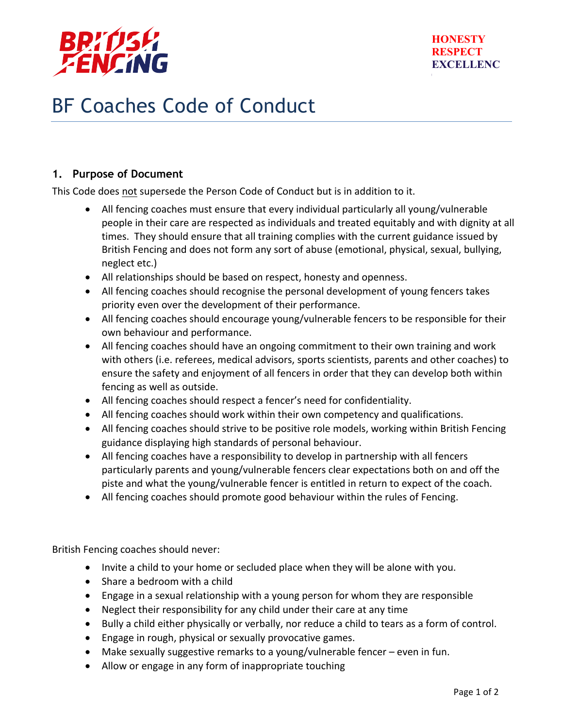

## BF Coaches Code of Conduct

## **1. Purpose of Document**

This Code does not supersede the Person Code of Conduct but is in addition to it.

- All fencing coaches must ensure that every individual particularly all young/vulnerable people in their care are respected as individuals and treated equitably and with dignity at all times. They should ensure that all training complies with the current guidance issued by British Fencing and does not form any sort of abuse (emotional, physical, sexual, bullying, neglect etc.)
- All relationships should be based on respect, honesty and openness.
- All fencing coaches should recognise the personal development of young fencers takes priority even over the development of their performance.
- All fencing coaches should encourage young/vulnerable fencers to be responsible for their own behaviour and performance.
- All fencing coaches should have an ongoing commitment to their own training and work with others (i.e. referees, medical advisors, sports scientists, parents and other coaches) to ensure the safety and enjoyment of all fencers in order that they can develop both within fencing as well as outside.
- All fencing coaches should respect a fencer's need for confidentiality.
- All fencing coaches should work within their own competency and qualifications.
- All fencing coaches should strive to be positive role models, working within British Fencing guidance displaying high standards of personal behaviour.
- All fencing coaches have a responsibility to develop in partnership with all fencers particularly parents and young/vulnerable fencers clear expectations both on and off the piste and what the young/vulnerable fencer is entitled in return to expect of the coach.
- $\bullet$  All fencing coaches should promote good behaviour within the rules of Fencing.

British Fencing coaches should never:

- Invite a child to your home or secluded place when they will be alone with you.
- Share a bedroom with a child
- Engage in a sexual relationship with a young person for whom they are responsible
- Neglect their responsibility for any child under their care at any time
- Bully a child either physically or verbally, nor reduce a child to tears as a form of control.
- Engage in rough, physical or sexually provocative games.
- Make sexually suggestive remarks to a young/vulnerable fencer  $-$  even in fun.
- Allow or engage in any form of inappropriate touching